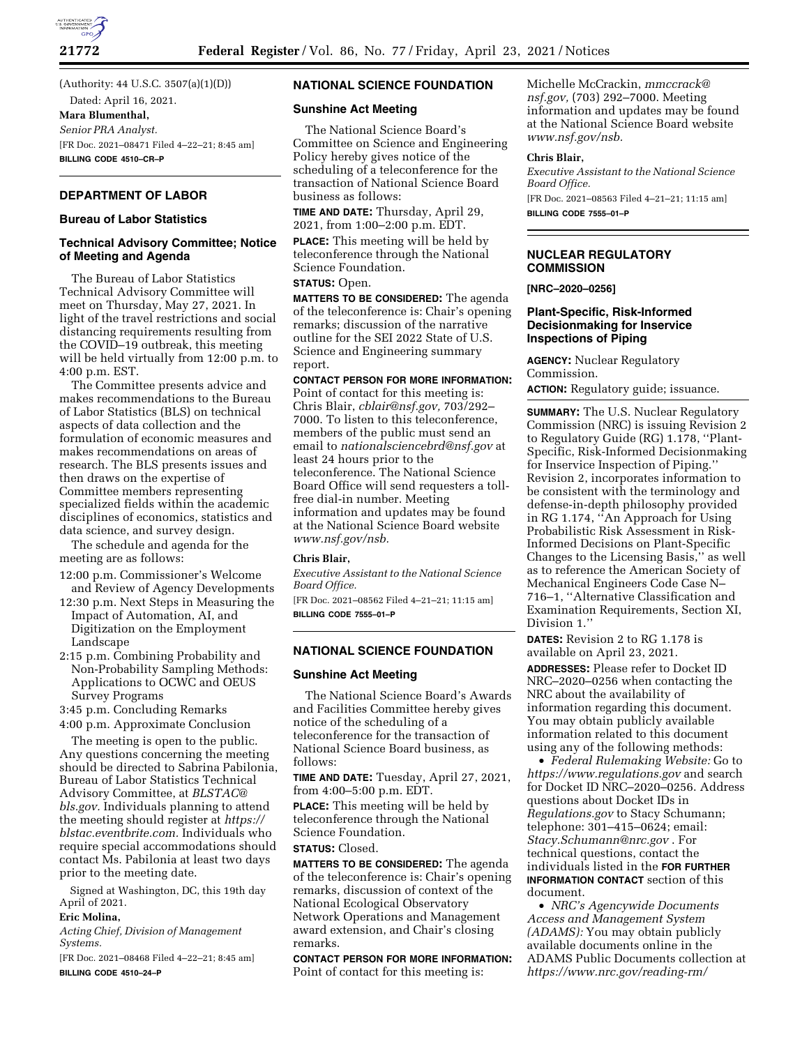

(Authority: 44 U.S.C. 3507(a)(1)(D)) Dated: April 16, 2021.

**Mara Blumenthal,**  *Senior PRA Analyst.*  [FR Doc. 2021–08471 Filed 4–22–21; 8:45 am] **BILLING CODE 4510–CR–P** 

# **DEPARTMENT OF LABOR**

#### **Bureau of Labor Statistics**

### **Technical Advisory Committee; Notice of Meeting and Agenda**

The Bureau of Labor Statistics Technical Advisory Committee will meet on Thursday, May 27, 2021. In light of the travel restrictions and social distancing requirements resulting from the COVID–19 outbreak, this meeting will be held virtually from 12:00 p.m. to 4:00 p.m. EST.

The Committee presents advice and makes recommendations to the Bureau of Labor Statistics (BLS) on technical aspects of data collection and the formulation of economic measures and makes recommendations on areas of research. The BLS presents issues and then draws on the expertise of Committee members representing specialized fields within the academic disciplines of economics, statistics and data science, and survey design.

The schedule and agenda for the meeting are as follows:

- 12:00 p.m. Commissioner's Welcome and Review of Agency Developments
- 12:30 p.m. Next Steps in Measuring the Impact of Automation, AI, and Digitization on the Employment Landscape
- 2:15 p.m. Combining Probability and Non-Probability Sampling Methods: Applications to OCWC and OEUS Survey Programs

3:45 p.m. Concluding Remarks

4:00 p.m. Approximate Conclusion

The meeting is open to the public. Any questions concerning the meeting should be directed to Sabrina Pabilonia, Bureau of Labor Statistics Technical Advisory Committee, at *[BLSTAC@](mailto:BLSTAC@bls.gov) [bls.gov.](mailto:BLSTAC@bls.gov)* Individuals planning to attend the meeting should register at *[https://](https://blstac.eventbrite.com) [blstac.eventbrite.com.](https://blstac.eventbrite.com)* Individuals who require special accommodations should contact Ms. Pabilonia at least two days prior to the meeting date.

Signed at Washington, DC, this 19th day April of 2021.

#### **Eric Molina,**

*Acting Chief, Division of Management Systems.* 

[FR Doc. 2021–08468 Filed 4–22–21; 8:45 am] **BILLING CODE 4510–24–P** 

# **NATIONAL SCIENCE FOUNDATION**

#### **Sunshine Act Meeting**

The National Science Board's Committee on Science and Engineering Policy hereby gives notice of the scheduling of a teleconference for the transaction of National Science Board business as follows:

**TIME AND DATE:** Thursday, April 29, 2021, from 1:00–2:00 p.m. EDT.

**PLACE:** This meeting will be held by teleconference through the National Science Foundation.

## **STATUS:** Open.

**MATTERS TO BE CONSIDERED:** The agenda of the teleconference is: Chair's opening remarks; discussion of the narrative outline for the SEI 2022 State of U.S. Science and Engineering summary report.

#### **CONTACT PERSON FOR MORE INFORMATION:**

Point of contact for this meeting is: Chris Blair, *[cblair@nsf.gov,](mailto:cblair@nsf.gov)* 703/292– 7000. To listen to this teleconference, members of the public must send an email to *[nationalsciencebrd@nsf.gov](mailto:nationalsciencebrd@nsf.gov)* at least 24 hours prior to the teleconference. The National Science Board Office will send requesters a tollfree dial-in number. Meeting information and updates may be found at the National Science Board website *[www.nsf.gov/nsb.](http://www.nsf.gov/nsb)* 

## **Chris Blair,**

*Executive Assistant to the National Science Board Office.* 

[FR Doc. 2021–08562 Filed 4–21–21; 11:15 am] **BILLING CODE 7555–01–P** 

# **NATIONAL SCIENCE FOUNDATION**

#### **Sunshine Act Meeting**

The National Science Board's Awards and Facilities Committee hereby gives notice of the scheduling of a teleconference for the transaction of National Science Board business, as follows:

**TIME AND DATE:** Tuesday, April 27, 2021, from 4:00–5:00 p.m. EDT.

**PLACE:** This meeting will be held by teleconference through the National Science Foundation.

# **STATUS:** Closed.

**MATTERS TO BE CONSIDERED:** The agenda of the teleconference is: Chair's opening remarks, discussion of context of the National Ecological Observatory Network Operations and Management award extension, and Chair's closing remarks.

**CONTACT PERSON FOR MORE INFORMATION:**  Point of contact for this meeting is:

Michelle McCrackin, *[mmccrack@](mailto:mmccrack@nsf.gov) [nsf.gov,](mailto:mmccrack@nsf.gov)* (703) 292–7000. Meeting information and updates may be found at the National Science Board website *[www.nsf.gov/nsb.](http://www.nsf.gov/nsb)* 

#### **Chris Blair,**

*Executive Assistant to the National Science Board Office.* 

[FR Doc. 2021–08563 Filed 4–21–21; 11:15 am] **BILLING CODE 7555–01–P** 

## **NUCLEAR REGULATORY COMMISSION**

**[NRC–2020–0256]** 

#### **Plant-Specific, Risk-Informed Decisionmaking for Inservice Inspections of Piping**

**AGENCY:** Nuclear Regulatory Commission.

**ACTION:** Regulatory guide; issuance.

**SUMMARY:** The U.S. Nuclear Regulatory Commission (NRC) is issuing Revision 2 to Regulatory Guide (RG) 1.178, ''Plant-Specific, Risk-Informed Decisionmaking for Inservice Inspection of Piping.'' Revision 2, incorporates information to be consistent with the terminology and defense-in-depth philosophy provided in RG 1.174, ''An Approach for Using Probabilistic Risk Assessment in Risk-Informed Decisions on Plant-Specific Changes to the Licensing Basis,'' as well as to reference the American Society of Mechanical Engineers Code Case N– 716–1, ''Alternative Classification and Examination Requirements, Section XI, Division 1.''

**DATES:** Revision 2 to RG 1.178 is available on April 23, 2021.

**ADDRESSES:** Please refer to Docket ID NRC–2020–0256 when contacting the NRC about the availability of information regarding this document. You may obtain publicly available information related to this document using any of the following methods:

• *Federal Rulemaking Website:* Go to *<https://www.regulations.gov>* and search for Docket ID NRC–2020–0256. Address questions about Docket IDs in *Regulations.gov* to Stacy Schumann; telephone: 301–415–0624; email: *[Stacy.Schumann@nrc.gov](mailto:Stacy.Schumann@nrc.gov)* . For technical questions, contact the individuals listed in the **FOR FURTHER INFORMATION CONTACT** section of this document.

• *NRC's Agencywide Documents Access and Management System (ADAMS):* You may obtain publicly available documents online in the ADAMS Public Documents collection at *[https://www.nrc.gov/reading-rm/](https://www.nrc.gov/reading-rm/adams.html)*